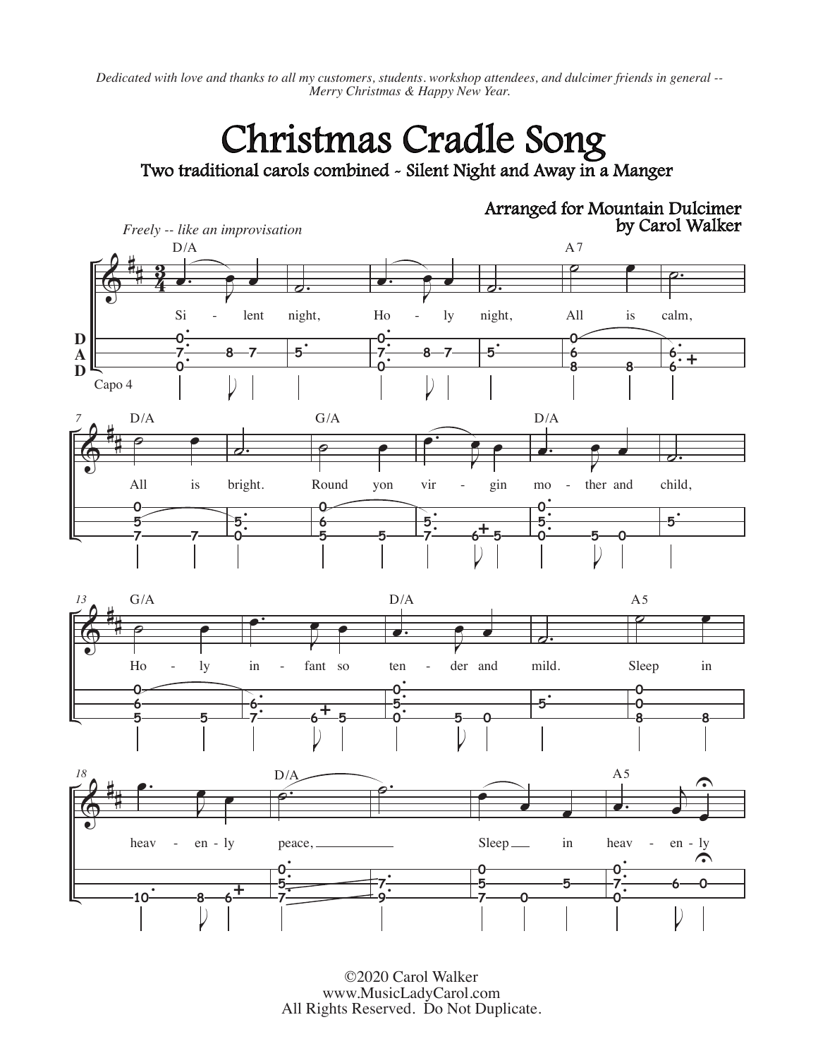*Dedicated with love and thanks to all my customers, students. workshop attendees, and dulcimer friends in general -- Merry Christmas & Happy New Year.*

## Christmas Cradle Song

Two traditional carols combined - Silent Night and Away in a Manger



©2020 Carol Walker www.MusicLadyCarol.com All Rights Reserved. Do Not Duplicate.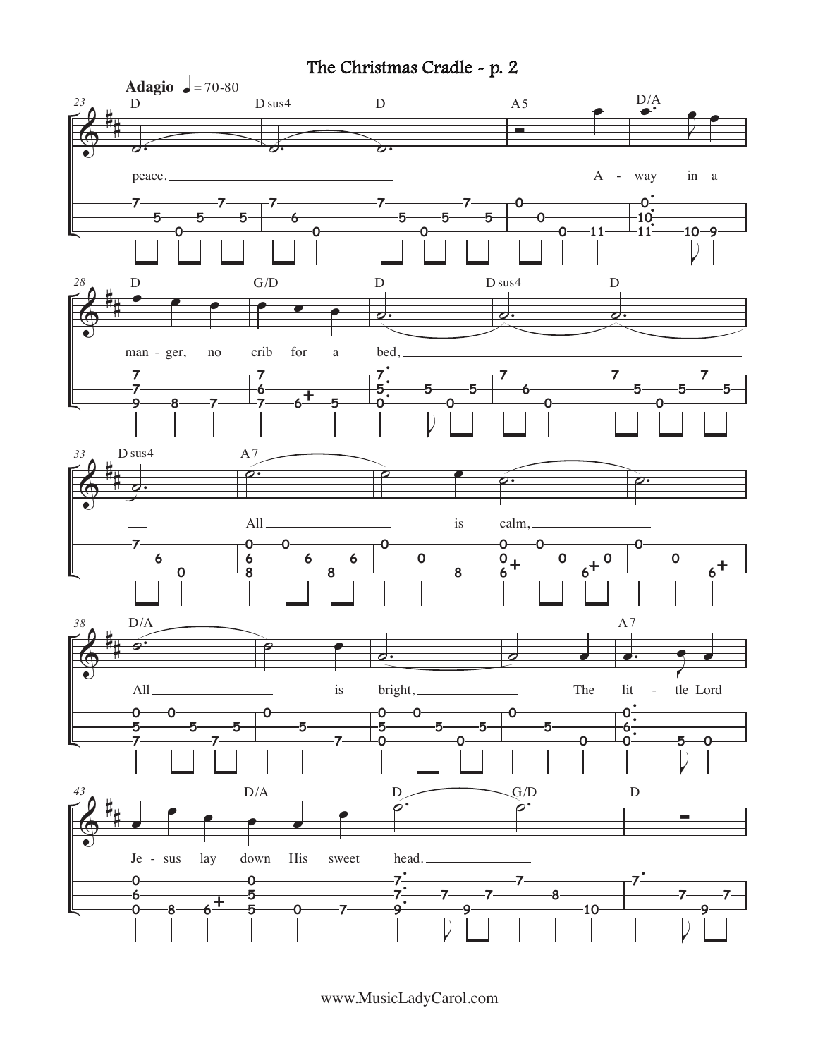## The Christmas Cradle - p. 2



www.MusicLadyCarol.com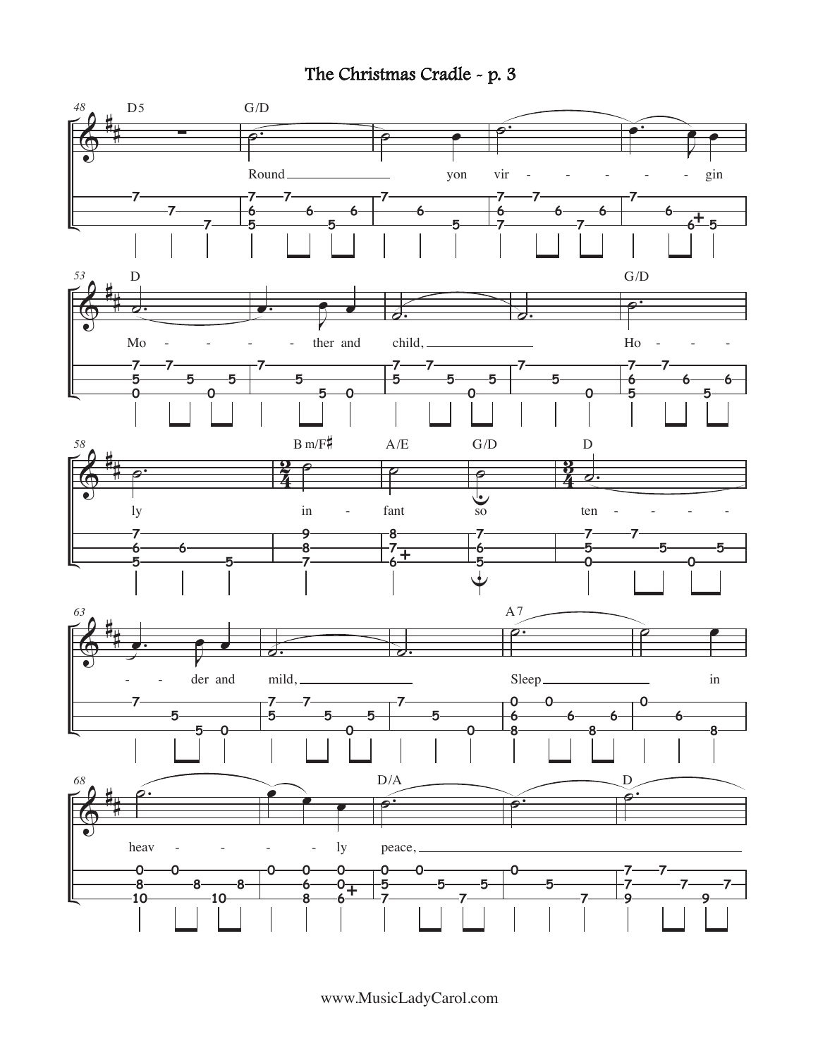## The Christmas Cradle - p. 3



www.MusicLadyCarol.com